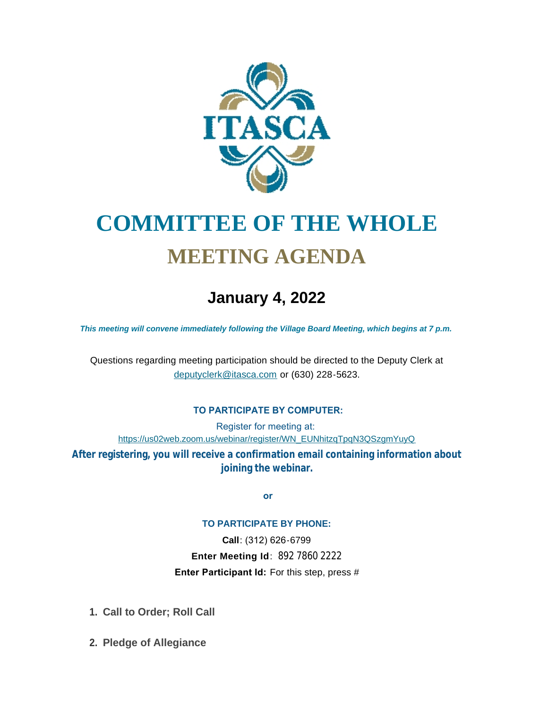

# **COMMITTEE OF THE WHOLE MEETING AGENDA**

## **January 4, 2022**

*This meeting will convene immediately following the Village Board Meeting, which begins at 7 p.m.*

[Questions regarding meeting participation sh](mailto:deputyclerk@itasca.com)ould be directed to the Deputy Clerk at deputyclerk@itasca.com or (630) 228-5623.

#### **TO PARTICIPATE BY COMPUTER:**

Register for meeting at: [https://us02web.zoom.us/webinar/register/WN\\_EUNhitzqTpqN3QSzgmYuyQ](https://us02web.zoom.us/webinar/register/WN_EUNhitzqTpqN3QSzgmYuyQ)

**After registering, you will receive a confirmation email containing information about joining the webinar.**

 **or**

#### **TO PARTICIPATE BY PHONE:**

**Call**: (312) 626-6799 **Enter Meeting Id**: 892 7860 2222 **Enter Participant Id:** For this step, press #

- **Call to Order; Roll Call 1.**
- **Pledge of Allegiance 2.**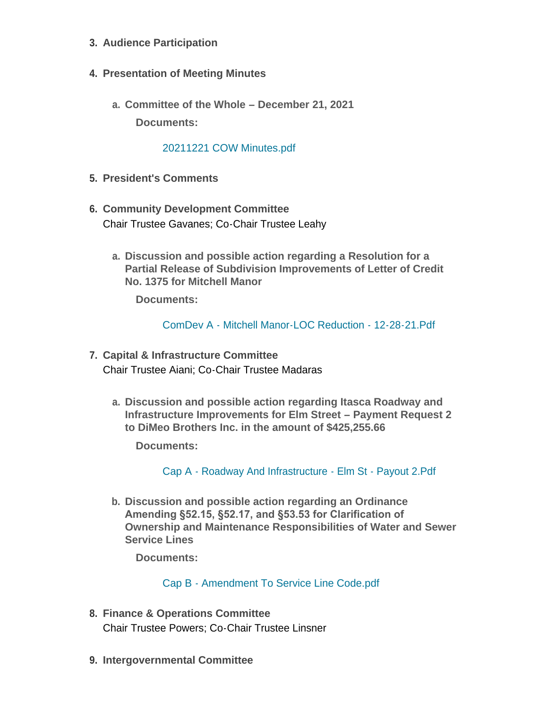- **Audience Participation 3.**
- **Presentation of Meeting Minutes 4.**
	- **Committee of the Whole – December 21, 2021 a. Documents:**

### [20211221 COW Minutes.pdf](http://www.itasca.com/AgendaCenter/ViewFile/Item/7250?fileID=9344)

- **President's Comments 5.**
- **Community Development Committee 6.** Chair Trustee Gavanes; Co-Chair Trustee Leahy
	- **Discussion and possible action regarding a Resolution for a a. Partial Release of Subdivision Improvements of Letter of Credit No. 1375 for Mitchell Manor**

**Documents:**

[ComDev A - Mitchell Manor-LOC Reduction - 12-28-21.Pdf](http://www.itasca.com/AgendaCenter/ViewFile/Item/7251?fileID=9345)

- **Capital & Infrastructure Committee 7.** Chair Trustee Aiani; Co-Chair Trustee Madaras
	- **Discussion and possible action regarding Itasca Roadway and a. Infrastructure Improvements for Elm Street – Payment Request 2 to DiMeo Brothers Inc. in the amount of \$425,255.66**

**Documents:**

Cap A - [Roadway And Infrastructure -](http://www.itasca.com/AgendaCenter/ViewFile/Item/7252?fileID=9346) Elm St - Payout 2.Pdf

**Discussion and possible action regarding an Ordinance b. Amending §52.15, §52.17, and §53.53 for Clarification of Ownership and Maintenance Responsibilities of Water and Sewer Service Lines**

**Documents:**

Cap B - [Amendment To Service Line Code.pdf](http://www.itasca.com/AgendaCenter/ViewFile/Item/7253?fileID=9347)

- **Finance & Operations Committee 8.** Chair Trustee Powers; Co-Chair Trustee Linsner
- **Intergovernmental Committee 9.**